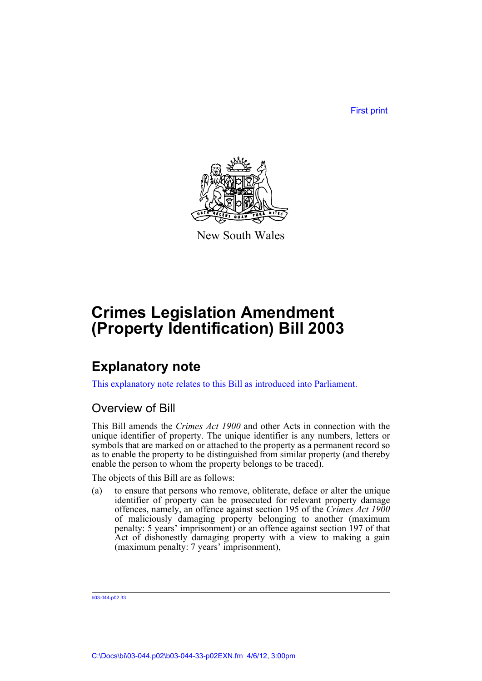First print



New South Wales

## **Crimes Legislation Amendment (Property Identification) Bill 2003**

## **Explanatory note**

This explanatory note relates to this Bill as introduced into Parliament.

### Overview of Bill

This Bill amends the *Crimes Act 1900* and other Acts in connection with the unique identifier of property. The unique identifier is any numbers, letters or symbols that are marked on or attached to the property as a permanent record so as to enable the property to be distinguished from similar property (and thereby enable the person to whom the property belongs to be traced).

The objects of this Bill are as follows:

(a) to ensure that persons who remove, obliterate, deface or alter the unique identifier of property can be prosecuted for relevant property damage offences, namely, an offence against section 195 of the *Crimes Act 1900* of maliciously damaging property belonging to another (maximum penalty: 5 years' imprisonment) or an offence against section 197 of that Act of dishonestly damaging property with a view to making a gain (maximum penalty: 7 years' imprisonment),

b03-044-p02.33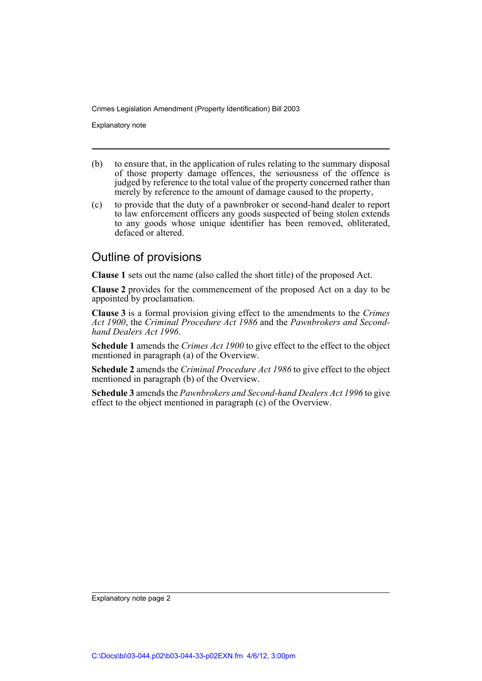Explanatory note

- (b) to ensure that, in the application of rules relating to the summary disposal of those property damage offences, the seriousness of the offence is judged by reference to the total value of the property concerned rather than merely by reference to the amount of damage caused to the property,
- (c) to provide that the duty of a pawnbroker or second-hand dealer to report to law enforcement officers any goods suspected of being stolen extends to any goods whose unique identifier has been removed, obliterated, defaced or altered.

### Outline of provisions

**Clause 1** sets out the name (also called the short title) of the proposed Act.

**Clause 2** provides for the commencement of the proposed Act on a day to be appointed by proclamation.

**Clause 3** is a formal provision giving effect to the amendments to the *Crimes Act 1900*, the *Criminal Procedure Act 1986* and the *Pawnbrokers and Secondhand Dealers Act 1996*.

**Schedule 1** amends the *Crimes Act 1900* to give effect to the effect to the object mentioned in paragraph (a) of the Overview.

**Schedule 2** amends the *Criminal Procedure Act 1986* to give effect to the object mentioned in paragraph (b) of the Overview.

**Schedule 3** amends the *Pawnbrokers and Second-hand Dealers Act 1996* to give effect to the object mentioned in paragraph (c) of the Overview.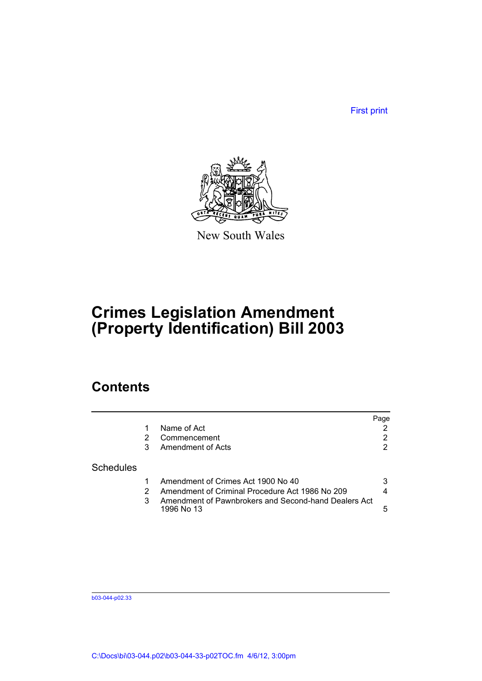First print



New South Wales

## **Crimes Legislation Amendment (Property Identification) Bill 2003**

## **Contents**

|   |                                                                    | Page |
|---|--------------------------------------------------------------------|------|
|   | Name of Act                                                        |      |
| 2 | Commencement                                                       | 2    |
| 3 | Amendment of Acts                                                  | 2    |
|   |                                                                    |      |
|   | Amendment of Crimes Act 1900 No 40                                 | 3    |
|   | Amendment of Criminal Procedure Act 1986 No 209                    | 4    |
| 3 | Amendment of Pawnbrokers and Second-hand Dealers Act<br>1996 No 13 | 5    |
|   |                                                                    |      |

b03-044-p02.33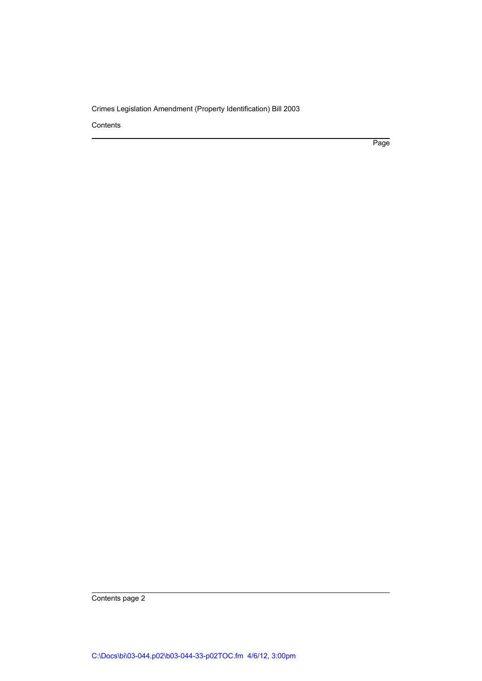Contents

Page

Contents page 2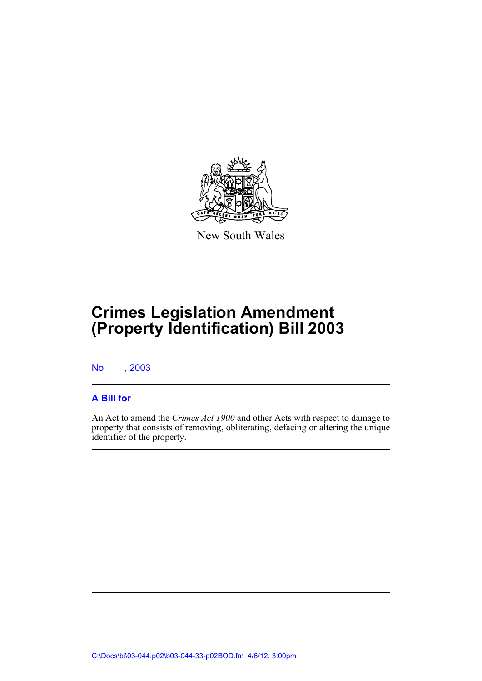

New South Wales

# **Crimes Legislation Amendment (Property Identification) Bill 2003**

No , 2003

#### **A Bill for**

An Act to amend the *Crimes Act 1900* and other Acts with respect to damage to property that consists of removing, obliterating, defacing or altering the unique identifier of the property.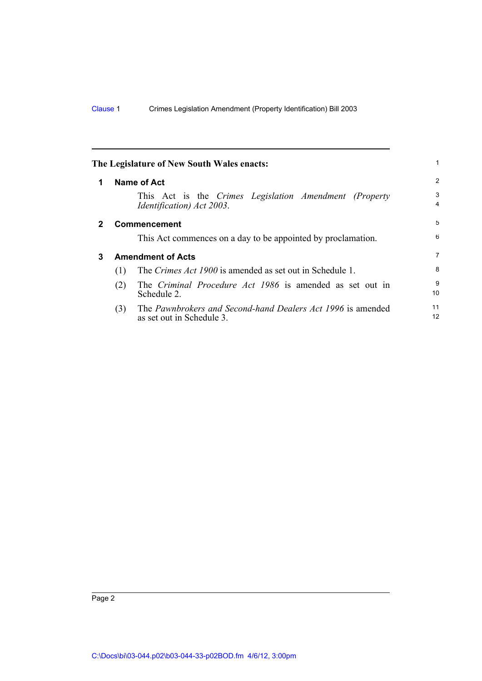<span id="page-5-2"></span><span id="page-5-1"></span><span id="page-5-0"></span>

|              |                          | The Legislature of New South Wales enacts:                                               | 1        |
|--------------|--------------------------|------------------------------------------------------------------------------------------|----------|
| 1            |                          | <b>Name of Act</b>                                                                       | 2        |
|              |                          | This Act is the Crimes Legislation Amendment (Property<br>Identification) Act 2003.      | 3<br>4   |
| $\mathbf{2}$ | <b>Commencement</b>      |                                                                                          | 5        |
|              |                          | This Act commences on a day to be appointed by proclamation.                             | 6        |
| 3            | <b>Amendment of Acts</b> |                                                                                          | 7        |
|              | (1)                      | The <i>Crimes Act 1900</i> is amended as set out in Schedule 1.                          | 8        |
|              | (2)                      | The Criminal Procedure Act 1986 is amended as set out in<br>Schedule 2.                  | 9<br>10  |
|              | (3)                      | The Pawnbrokers and Second-hand Dealers Act 1996 is amended<br>as set out in Schedule 3. | 11<br>12 |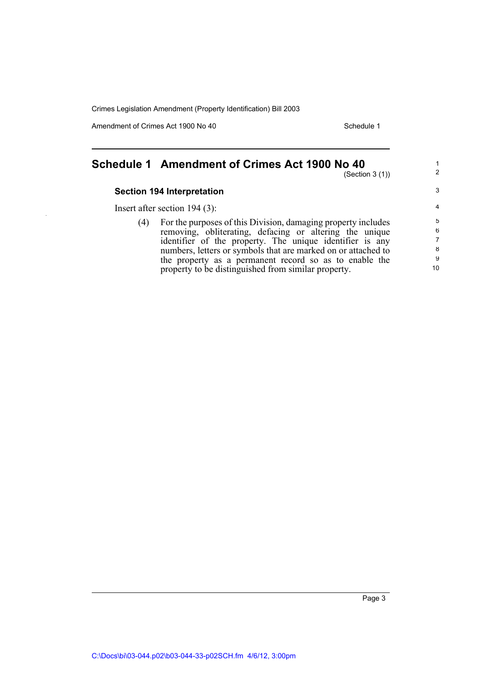Amendment of Crimes Act 1900 No 40 Schedule 1

### <span id="page-6-0"></span>**Schedule 1 Amendment of Crimes Act 1900 No 40**

(Section 3 (1))

1 2

3

#### **Section 194 Interpretation**

Insert after section 194 (3):

(4) For the purposes of this Division, damaging property includes removing, obliterating, defacing or altering the unique identifier of the property. The unique identifier is any numbers, letters or symbols that are marked on or attached to the property as a permanent record so as to enable the property to be distinguished from similar property.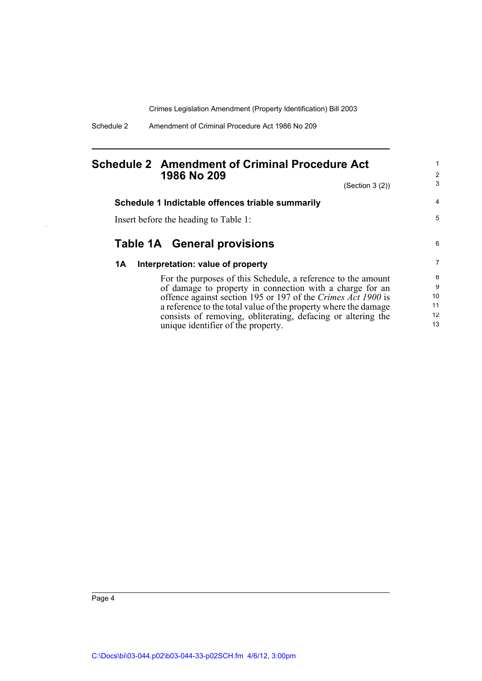Schedule 2 Amendment of Criminal Procedure Act 1986 No 209

#### <span id="page-7-0"></span>**Schedule 2 Amendment of Criminal Procedure Act 1986 No 209**

unique identifier of the property.

(Section 3 (2))

1 2 3

13

| Schedule 1 Indictable offences triable summarily                | 4  |
|-----------------------------------------------------------------|----|
| Insert before the heading to Table 1:                           | 5  |
| Table 1A General provisions                                     | 6  |
| Interpretation: value of property<br>1A                         | 7  |
| For the purposes of this Schedule, a reference to the amount    | 8  |
| of damage to property in connection with a charge for an        | 9  |
| offence against section 195 or 197 of the Crimes Act 1900 is    | 10 |
| a reference to the total value of the property where the damage | 11 |
| consists of removing, obliterating, defacing or altering the    | 12 |

Page 4